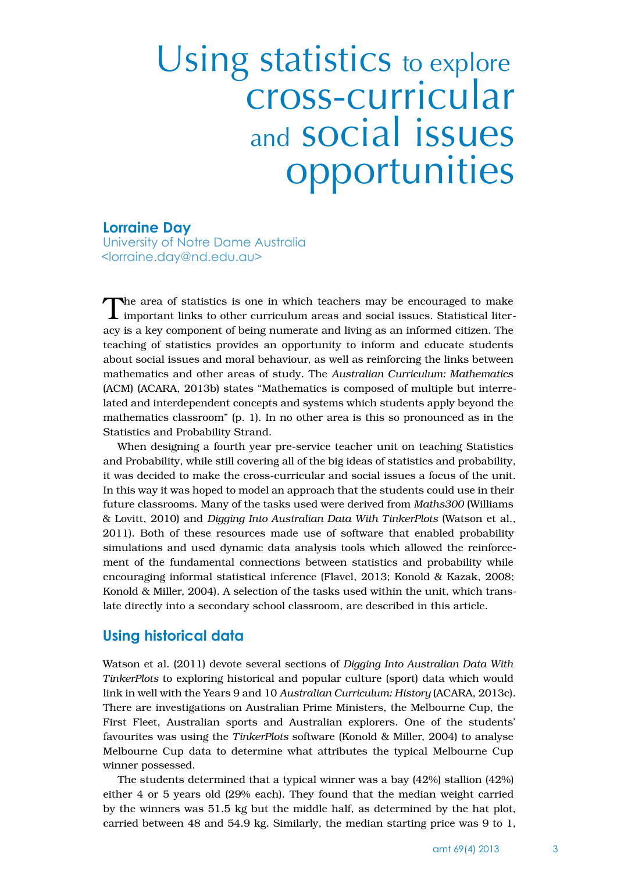# Using statistics to explore cross-curricular and social issues opportunities

#### **Lorraine Day**

University of Notre Dame Australia <lorraine.day@nd.edu.au>

The area of statistics is one in which teachers may be encouraged to make important links to other curriculum areas and social issues. Statistical literacy is a key component of being numerate and living as an informed citizen. The teaching of statistics provides an opportunity to inform and educate students about social issues and moral behaviour, as well as reinforcing the links between mathematics and other areas of study. The *Australian Curriculum: Mathematics* (ACM) (ACARA, 2013b) states "Mathematics is composed of multiple but interrelated and interdependent concepts and systems which students apply beyond the mathematics classroom" (p. 1). In no other area is this so pronounced as in the Statistics and Probability Strand.

When designing a fourth year pre-service teacher unit on teaching Statistics and Probability, while still covering all of the big ideas of statistics and probability, it was decided to make the cross-curricular and social issues a focus of the unit. In this way it was hoped to model an approach that the students could use in their future classrooms. Many of the tasks used were derived from *Maths300* (Williams & Lovitt, 2010) and *Digging Into Australian Data With TinkerPlots* (Watson et al., 2011). Both of these resources made use of software that enabled probability simulations and used dynamic data analysis tools which allowed the reinforcement of the fundamental connections between statistics and probability while encouraging informal statistical inference (Flavel, 2013; Konold & Kazak, 2008; Konold & Miller, 2004). A selection of the tasks used within the unit, which translate directly into a secondary school classroom, are described in this article.

# **Using historical data**

Watson et al. (2011) devote several sections of *Digging Into Australian Data With TinkerPlots* to exploring historical and popular culture (sport) data which would link in well with the Years 9 and 10 *Australian Curriculum: History* (ACARA, 2013c). There are investigations on Australian Prime Ministers, the Melbourne Cup, the First Fleet, Australian sports and Australian explorers. One of the students' favourites was using the *TinkerPlots* software (Konold & Miller, 2004) to analyse Melbourne Cup data to determine what attributes the typical Melbourne Cup winner possessed.

The students determined that a typical winner was a bay (42%) stallion (42%) either 4 or 5 years old (29% each). They found that the median weight carried by the winners was 51.5 kg but the middle half, as determined by the hat plot, carried between 48 and 54.9 kg. Similarly, the median starting price was 9 to 1,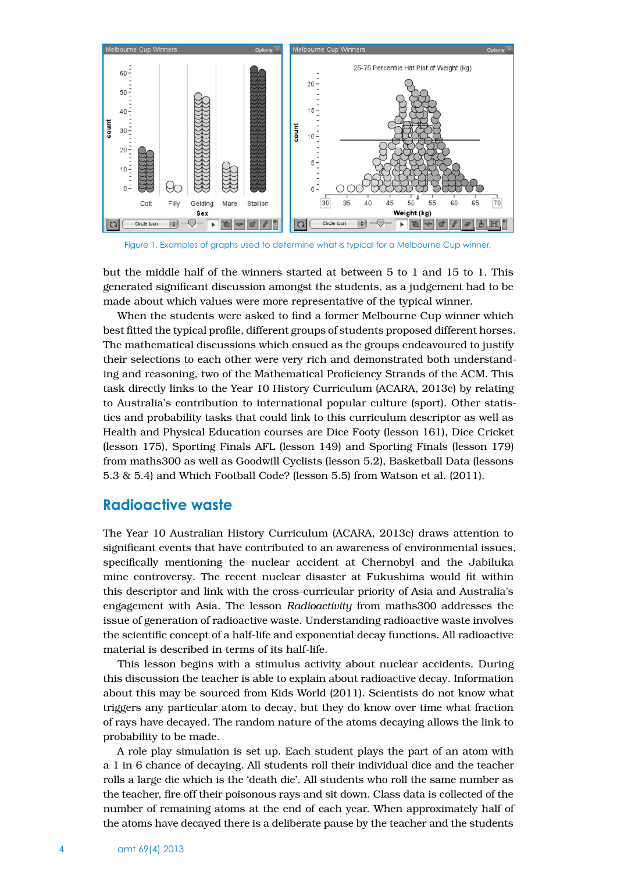

Figure 1. Examples of graphs used to determine what is typical for a Melbourne Cup winner.

but the middle half of the winners started at between 5 to 1 and 15 to 1. This generated significant discussion amongst the students, as a judgement had to be made about which values were more representative of the typical winner.

When the students were asked to find a former Melbourne Cup winner which best fitted the typical profile, different groups of students proposed different horses. The mathematical discussions which ensued as the groups endeavoured to justify their selections to each other were very rich and demonstrated both understanding and reasoning, two of the Mathematical Proficiency Strands of the ACM. This task directly links to the Year 10 History Curriculum (ACARA, 2013c) by relating to Australia's contribution to international popular culture (sport). Other statistics and probability tasks that could link to this curriculum descriptor as well as Health and Physical Education courses are Dice Footy (lesson 161), Dice Cricket (lesson 175), Sporting Finals AFL (lesson 149) and Sporting Finals (lesson 179) from maths300 as well as Goodwill Cyclists (lesson 5.2), Basketball Data (lessons 5.3 & 5.4) and Which Football Code? (lesson 5.5) from Watson et al. (2011).

# **Radioactive waste**

The Year 10 Australian History Curriculum (ACARA, 2013c) draws attention to significant events that have contributed to an awareness of environmental issues, specifically mentioning the nuclear accident at Chernobyl and the Jabiluka mine controversy. The recent nuclear disaster at Fukushima would fit within this descriptor and link with the cross-curricular priority of Asia and Australia's engagement with Asia. The lesson *Radioactivity* from maths300 addresses the issue of generation of radioactive waste. Understanding radioactive waste involves the scientific concept of a half-life and exponential decay functions. All radioactive material is described in terms of its half-life.

This lesson begins with a stimulus activity about nuclear accidents. During this discussion the teacher is able to explain about radioactive decay. Information about this may be sourced from Kids World (2011). Scientists do not know what triggers any particular atom to decay, but they do know over time what fraction of rays have decayed. The random nature of the atoms decaying allows the link to probability to be made.

A role play simulation is set up. Each student plays the part of an atom with a 1 in 6 chance of decaying. All students roll their individual dice and the teacher rolls a large die which is the 'death die'. All students who roll the same number as the teacher, fire off their poisonous rays and sit down. Class data is collected of the number of remaining atoms at the end of each year. When approximately half of the atoms have decayed there is a deliberate pause by the teacher and the students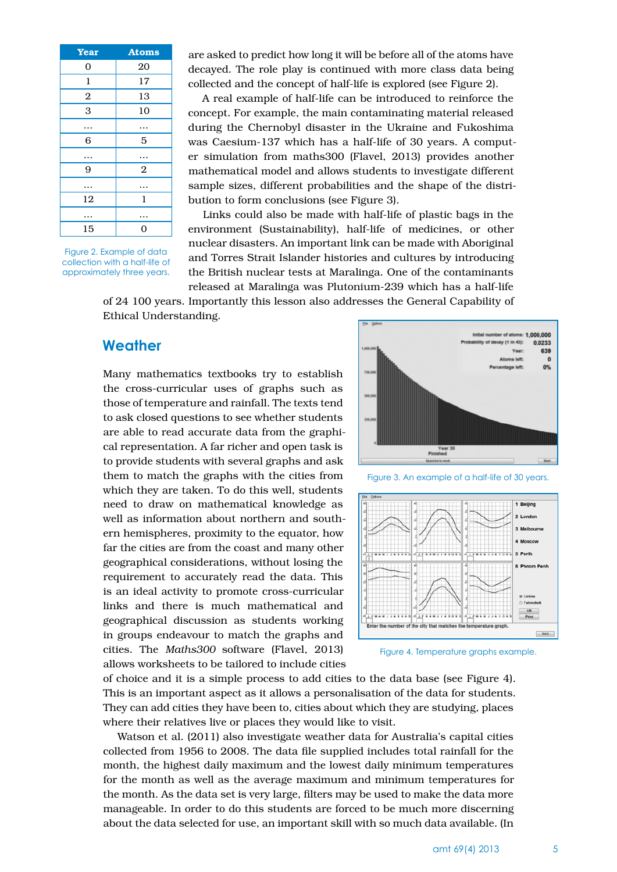| <b>Year</b>    | <b>Atoms</b>   |
|----------------|----------------|
| 0              | 20             |
| $\mathbf 1$    | 17             |
| $\overline{2}$ | 13             |
| 3              | 10             |
|                |                |
| 6              | 5              |
|                |                |
| 9              | $\overline{2}$ |
|                |                |
| 12             | $\mathbf{1}$   |
|                |                |
| 15             | 0              |

Figure 2. Example of data collection with a half-life of approximately three years.

are asked to predict how long it will be before all of the atoms have decayed. The role play is continued with more class data being collected and the concept of half-life is explored (see Figure 2).

A real example of half-life can be introduced to reinforce the concept. For example, the main contaminating material released during the Chernobyl disaster in the Ukraine and Fukoshima was Caesium-137 which has a half-life of 30 years. A computer simulation from maths300 (Flavel, 2013) provides another mathematical model and allows students to investigate different sample sizes, different probabilities and the shape of the distribution to form conclusions (see Figure 3).

Links could also be made with half-life of plastic bags in the environment (Sustainability), half-life of medicines, or other nuclear disasters. An important link can be made with Aboriginal and Torres Strait Islander histories and cultures by introducing the British nuclear tests at Maralinga. One of the contaminants released at Maralinga was Plutonium-239 which has a half-life

of 24 100 years. Importantly this lesson also addresses the General Capability of Ethical Understanding.

### **Weather**

Many mathematics textbooks try to establish the cross-curricular uses of graphs such as those of temperature and rainfall. The texts tend to ask closed questions to see whether students are able to read accurate data from the graphical representation. A far richer and open task is to provide students with several graphs and ask them to match the graphs with the cities from which they are taken. To do this well, students need to draw on mathematical knowledge as well as information about northern and southern hemispheres, proximity to the equator, how far the cities are from the coast and many other geographical considerations, without losing the requirement to accurately read the data. This is an ideal activity to promote cross-curricular links and there is much mathematical and geographical discussion as students working in groups endeavour to match the graphs and cities. The *Maths300* software (Flavel, 2013) allows worksheets to be tailored to include cities



Figure 3. An example of a half-life of 30 years.



Figure 4. Temperature graphs example.

of choice and it is a simple process to add cities to the data base (see Figure 4). This is an important aspect as it allows a personalisation of the data for students. They can add cities they have been to, cities about which they are studying, places where their relatives live or places they would like to visit.

Watson et al. (2011) also investigate weather data for Australia's capital cities collected from 1956 to 2008. The data file supplied includes total rainfall for the month, the highest daily maximum and the lowest daily minimum temperatures for the month as well as the average maximum and minimum temperatures for the month. As the data set is very large, filters may be used to make the data more manageable. In order to do this students are forced to be much more discerning about the data selected for use, an important skill with so much data available. (In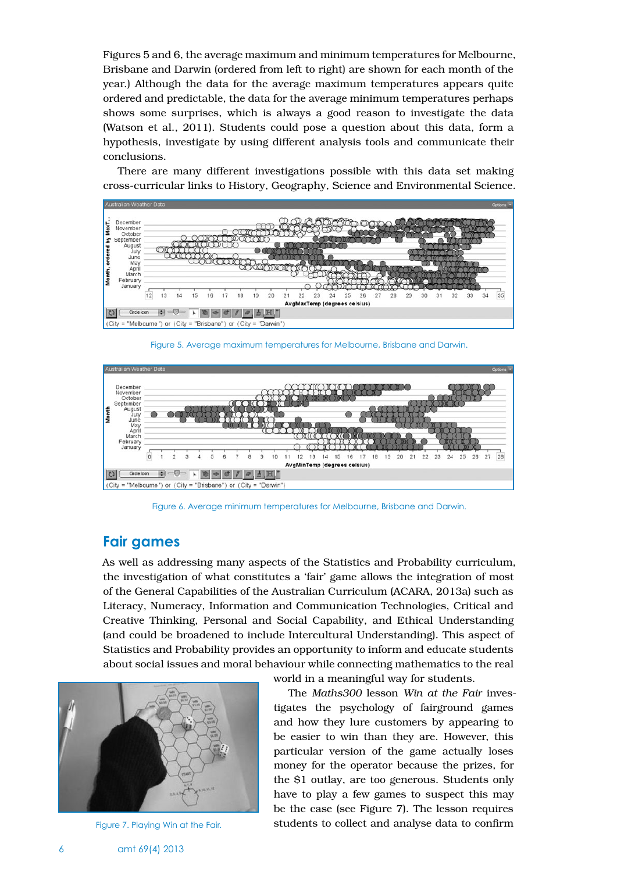Figures 5 and 6, the average maximum and minimum temperatures for Melbourne, Brisbane and Darwin (ordered from left to right) are shown for each month of the year.) Although the data for the average maximum temperatures appears quite ordered and predictable, the data for the average minimum temperatures perhaps shows some surprises, which is always a good reason to investigate the data (Watson et al., 2011). Students could pose a question about this data, form a hypothesis, investigate by using different analysis tools and communicate their conclusions.

There are many different investigations possible with this data set making cross-curricular links to History, Geography, Science and Environmental Science.



Figure 5. Average maximum temperatures for Melbourne, Brisbane and Darwin.



Figure 6. Average minimum temperatures for Melbourne, Brisbane and Darwin.

#### **Fair games**

As well as addressing many aspects of the Statistics and Probability curriculum, the investigation of what constitutes a 'fair' game allows the integration of most of the General Capabilities of the Australian Curriculum (ACARA, 2013a) such as Literacy, Numeracy, Information and Communication Technologies, Critical and Creative Thinking, Personal and Social Capability, and Ethical Understanding (and could be broadened to include Intercultural Understanding). This aspect of Statistics and Probability provides an opportunity to inform and educate students about social issues and moral behaviour while connecting mathematics to the real



world in a meaningful way for students.

The *Maths300* lesson *Win at the Fair* investigates the psychology of fairground games and how they lure customers by appearing to be easier to win than they are. However, this particular version of the game actually loses money for the operator because the prizes, for the \$1 outlay, are too generous. Students only have to play a few games to suspect this may be the case (see Figure 7). The lesson requires Figure 7. Playing Win at the Fair. students to collect and analyse data to confirm